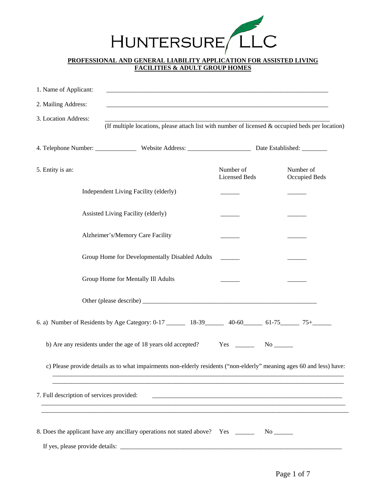

## **PROFESSIONAL AND GENERAL LIABILITY APPLICATION FOR ASSISTED LIVING FACILITIES & ADULT GROUP HOMES**

| 1. Name of Applicant:                     |                                                                                                                       |                                   |                            |
|-------------------------------------------|-----------------------------------------------------------------------------------------------------------------------|-----------------------------------|----------------------------|
| 2. Mailing Address:                       |                                                                                                                       |                                   |                            |
| 3. Location Address:                      | (If multiple locations, please attach list with number of licensed & occupied beds per location)                      |                                   |                            |
|                                           |                                                                                                                       |                                   |                            |
| 5. Entity is an:                          |                                                                                                                       | Number of<br><b>Licensed Beds</b> | Number of<br>Occupied Beds |
|                                           | Independent Living Facility (elderly)                                                                                 |                                   |                            |
|                                           | Assisted Living Facility (elderly)                                                                                    |                                   |                            |
|                                           | Alzheimer's/Memory Care Facility                                                                                      |                                   |                            |
|                                           | Group Home for Developmentally Disabled Adults                                                                        |                                   |                            |
|                                           | Group Home for Mentally Ill Adults                                                                                    |                                   |                            |
|                                           |                                                                                                                       |                                   |                            |
|                                           | 6. a) Number of Residents by Age Category: 0-17 _______ 18-39 _____ 40-60 _____ 61-75 _____ 75+ _____                 |                                   |                            |
|                                           | b) Are any residents under the age of 18 years old accepted? Yes __________ No ________                               |                                   |                            |
|                                           | c) Please provide details as to what impairments non-elderly residents ("non-elderly" meaning ages 60 and less) have: |                                   |                            |
| 7. Full description of services provided: |                                                                                                                       |                                   |                            |
|                                           | 8. Does the applicant have any ancillary operations not stated above? Yes ______                                      |                                   |                            |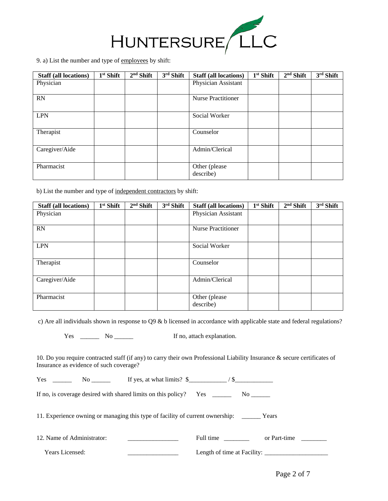

9. a) List the number and type of employees by shift:

| <b>Staff (all locations)</b> | $1st$ Shift | $2nd$ Shift | $3rd$ Shift | <b>Staff (all locations)</b> | $1st$ Shift | $2nd$ Shift | 3rd Shift |
|------------------------------|-------------|-------------|-------------|------------------------------|-------------|-------------|-----------|
| Physician                    |             |             |             | Physician Assistant          |             |             |           |
|                              |             |             |             |                              |             |             |           |
| RN                           |             |             |             | <b>Nurse Practitioner</b>    |             |             |           |
|                              |             |             |             |                              |             |             |           |
| <b>LPN</b>                   |             |             |             | Social Worker                |             |             |           |
|                              |             |             |             |                              |             |             |           |
| Therapist                    |             |             |             | Counselor                    |             |             |           |
|                              |             |             |             |                              |             |             |           |
| Caregiver/Aide               |             |             |             | Admin/Clerical               |             |             |           |
|                              |             |             |             |                              |             |             |           |
| Pharmacist                   |             |             |             | Other (please                |             |             |           |
|                              |             |             |             | describe)                    |             |             |           |

b) List the number and type of independent contractors by shift:

| <b>Staff (all locations)</b> | $1st$ Shift | $2nd$ Shift | $3rd$ Shift | <b>Staff (all locations)</b> | $1st$ Shift | $2nd$ Shift | $3rd$ Shift |
|------------------------------|-------------|-------------|-------------|------------------------------|-------------|-------------|-------------|
| Physician                    |             |             |             | Physician Assistant          |             |             |             |
|                              |             |             |             |                              |             |             |             |
| RN                           |             |             |             | <b>Nurse Practitioner</b>    |             |             |             |
|                              |             |             |             |                              |             |             |             |
| <b>LPN</b>                   |             |             |             | Social Worker                |             |             |             |
|                              |             |             |             |                              |             |             |             |
| Therapist                    |             |             |             | Counselor                    |             |             |             |
|                              |             |             |             |                              |             |             |             |
| Caregiver/Aide               |             |             |             | Admin/Clerical               |             |             |             |
|                              |             |             |             |                              |             |             |             |
| Pharmacist                   |             |             |             | Other (please                |             |             |             |
|                              |             |             |             | describe)                    |             |             |             |

c) Are all individuals shown in response to Q9 & b licensed in accordance with applicable state and federal regulations?

Yes \_\_\_\_\_\_\_ No \_\_\_\_\_\_\_ If no, attach explanation.

10. Do you require contracted staff (if any) to carry their own Professional Liability Insurance & secure certificates of Insurance as evidence of such coverage?

| Yes | NΟ | If yes, at what limits? \$                                    |     |  |  |
|-----|----|---------------------------------------------------------------|-----|--|--|
|     |    | If no, is coverage desired with shared limits on this policy? | Yes |  |  |
|     |    |                                                               |     |  |  |

11. Experience owning or managing this type of facility of current ownership: \_\_\_\_\_\_ Years

| 12. Name of Administrator: | Full time                   | or Part-time |  |
|----------------------------|-----------------------------|--------------|--|
| <b>Years Licensed:</b>     | Length of time at Facility: |              |  |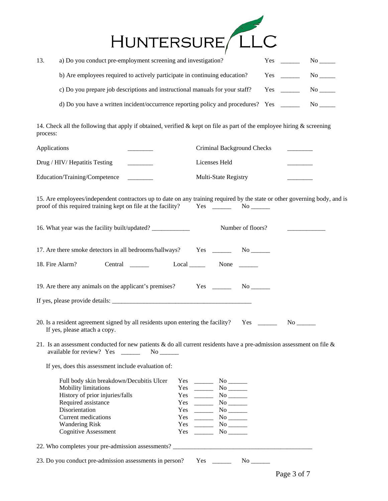

| 13. | a) Do you conduct pre-employment screening and investigation?                | Yes: | No l       |
|-----|------------------------------------------------------------------------------|------|------------|
|     | b) Are employees required to actively participate in continuing education?   | Yes  | No the set |
|     | c) Do you prepare job descriptions and instructional manuals for your staff? | Yes  | No the set |
|     |                                                                              |      | No.        |

14. Check all the following that apply if obtained, verified & kept on file as part of the employee hiring & screening process:

| Applications                  | Criminal Background Checks |  |
|-------------------------------|----------------------------|--|
| Drug / HIV/ Hepatitis Testing | Licenses Held              |  |
| Education/Training/Competence | Multi-State Registry       |  |

15. Are employees/independent contractors up to date on any training required by the state or other governing body, and is proof of this required training kept on file at the facility? Yes \_\_\_\_\_\_ No \_\_\_\_

| 16. What year was the facility built/updated?           | Number of floors?        |                            |  |  |
|---------------------------------------------------------|--------------------------|----------------------------|--|--|
| 17. Are there smoke detectors in all bedrooms/hallways? |                          | $Yes \_\_ No \_\_ No \_\_$ |  |  |
| 18. Fire Alarm?<br>Central                              | $Local$ <sub>_____</sub> | None $\frac{ }{ }$         |  |  |
| 19. Are there any animals on the applicant's premises?  |                          | Yes No                     |  |  |
|                                                         |                          |                            |  |  |

- 20. Is a resident agreement signed by all residents upon entering the facility? Yes \_\_\_\_\_\_ No \_\_\_\_\_ If yes, please attach a copy.
- 21. Is an assessment conducted for new patients  $\&$  do all current residents have a pre-admission assessment on file  $\&$ available for review? Yes \_\_\_\_\_\_\_\_ No \_\_\_\_\_\_

If yes, does this assessment include evaluation of:

| Full body skin breakdown/Decubitis Ulcer | Yes | No. |
|------------------------------------------|-----|-----|
| <b>Mobility limitations</b>              | Yes | No. |
| History of prior injuries/falls          | Yes | No. |
| Required assistance                      | Yes | No. |
| Disorientation                           | Yes | No. |
| Current medications                      | Yes | No. |
| <b>Wandering Risk</b>                    | Yes | No. |
| <b>Cognitive Assessment</b>              | Yes | No  |
|                                          |     |     |

22. Who completes your pre-admission assessments? \_\_\_\_\_\_\_\_\_\_\_\_\_\_\_\_\_\_\_\_\_\_\_\_\_\_\_\_\_\_\_

23. Do you conduct pre-admission assessments in person? Yes \_\_\_\_\_\_\_ No \_\_\_\_\_\_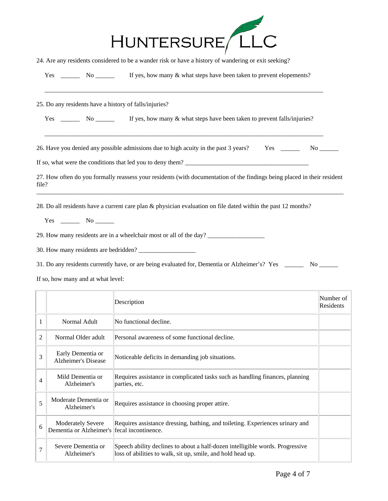| HUNTERSURE LLC |  |
|----------------|--|

24. Are any residents considered to be a wander risk or have a history of wandering or exit seeking?

| Yes |  | If yes, how many & what steps have been taken to prevent elopements? |
|-----|--|----------------------------------------------------------------------|
|     |  |                                                                      |

\_\_\_\_\_\_\_\_\_\_\_\_\_\_\_\_\_\_\_\_\_\_\_\_\_\_\_\_\_\_\_\_\_\_\_\_\_\_\_\_\_\_\_\_\_\_\_\_\_\_\_\_\_\_\_\_\_\_\_\_\_\_\_\_\_\_\_\_\_\_\_\_\_\_\_\_\_\_\_\_\_\_\_\_\_\_\_\_

25. Do any residents have a history of falls/injuries?

| Yes | No. |  |  | If yes, how many & what steps have been taken to prevent falls/injuries? |
|-----|-----|--|--|--------------------------------------------------------------------------|
|-----|-----|--|--|--------------------------------------------------------------------------|

26. Have you denied any possible admissions due to high acuity in the past 3 years? Yes \_\_\_\_\_\_\_\_ No \_\_\_\_\_\_

\_\_\_\_\_\_\_\_\_\_\_\_\_\_\_\_\_\_\_\_\_\_\_\_\_\_\_\_\_\_\_\_\_\_\_\_\_\_\_\_\_\_\_\_\_\_\_\_\_\_\_\_\_\_\_\_\_\_\_\_\_\_\_\_\_\_\_\_\_\_\_\_\_\_\_\_\_\_\_\_\_\_\_\_\_\_\_\_

If so, what were the conditions that led you to deny them? \_\_\_\_\_\_\_\_\_\_\_\_\_\_\_\_\_\_\_\_\_\_\_\_\_\_\_\_\_\_\_\_\_\_\_\_\_\_\_

27. How often do you formally reassess your residents (with documentation of the findings being placed in their resident file? \_\_\_\_\_\_\_\_\_\_\_\_\_\_\_\_\_\_\_\_\_\_\_\_\_\_\_\_\_\_\_\_\_\_\_\_\_\_\_\_\_\_\_\_\_\_\_\_\_\_\_\_\_\_\_\_\_\_\_\_\_\_\_\_\_\_\_\_\_\_\_\_\_\_\_\_\_\_\_\_\_\_\_\_\_\_\_\_\_\_\_\_\_\_\_\_\_

28. Do all residents have a current care plan & physician evaluation on file dated within the past 12 months?

Yes \_\_\_\_\_\_\_\_ No \_\_\_\_\_\_\_

29. How many residents are in a wheelchair most or all of the day? \_\_\_\_\_\_\_\_\_\_\_\_\_\_

30. How many residents are bedridden? \_\_\_\_\_\_\_\_\_\_\_\_\_\_\_\_\_\_

31. Do any residents currently have, or are being evaluated for, Dementia or Alzheimer's? Yes \_\_\_\_\_\_ No \_\_\_\_\_\_

If so, how many and at what level:

|                |                                                     | Description                                                                                                                                  | Number of<br>Residents |
|----------------|-----------------------------------------------------|----------------------------------------------------------------------------------------------------------------------------------------------|------------------------|
| 1              | Normal Adult                                        | No functional decline.                                                                                                                       |                        |
| $\overline{2}$ | Normal Older adult                                  | Personal awareness of some functional decline.                                                                                               |                        |
| 3              | Early Dementia or<br>Alzheimer's Disease            | Noticeable deficits in demanding job situations.                                                                                             |                        |
| 4              | Mild Dementia or<br>Alzheimer's                     | Requires assistance in complicated tasks such as handling finances, planning<br>parties, etc.                                                |                        |
| 5              | Moderate Dementia or<br>Alzheimer's                 | Requires assistance in choosing proper attire.                                                                                               |                        |
| 6              | <b>Moderately Severe</b><br>Dementia or Alzheimer's | Requires assistance dressing, bathing, and toileting. Experiences urinary and<br>fecal incontinence.                                         |                        |
| 7              | Severe Dementia or<br>Alzheimer's                   | Speech ability declines to about a half-dozen intelligible words. Progressive<br>loss of abilities to walk, sit up, smile, and hold head up. |                        |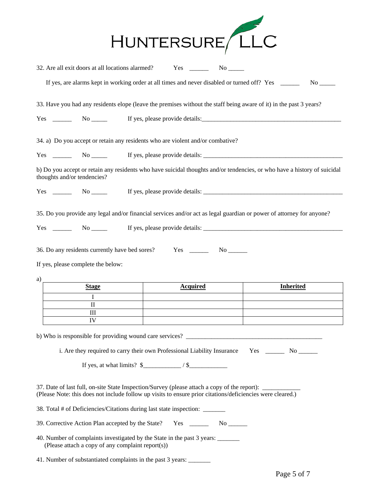|                                                                                                                                                                                                            | HUNTERSURE LLC                                                                                                                                            |                  |
|------------------------------------------------------------------------------------------------------------------------------------------------------------------------------------------------------------|-----------------------------------------------------------------------------------------------------------------------------------------------------------|------------------|
|                                                                                                                                                                                                            |                                                                                                                                                           |                  |
|                                                                                                                                                                                                            | If yes, are alarms kept in working order at all times and never disabled or turned off? Yes _____                                                         | No results.      |
| 33. Have you had any residents elope (leave the premises without the staff being aware of it) in the past 3 years?                                                                                         |                                                                                                                                                           |                  |
|                                                                                                                                                                                                            |                                                                                                                                                           |                  |
| 34. a) Do you accept or retain any residents who are violent and/or combative?                                                                                                                             |                                                                                                                                                           |                  |
|                                                                                                                                                                                                            |                                                                                                                                                           |                  |
| b) Do you accept or retain any residents who have suicidal thoughts and/or tendencies, or who have a history of suicidal<br>thoughts and/or tendencies?                                                    |                                                                                                                                                           |                  |
|                                                                                                                                                                                                            |                                                                                                                                                           |                  |
| 35. Do you provide any legal and/or financial services and/or act as legal guardian or power of attorney for anyone?                                                                                       |                                                                                                                                                           |                  |
| $Yes \_\_\_\_\_\$ No $\_\_\_\_\$ If yes, please provide details: $\_\_\_\_\_\_\_\_\_\_\_\_\_\_\_\_\_\_\_$                                                                                                  |                                                                                                                                                           |                  |
| If yes, please complete the below:<br>a)                                                                                                                                                                   |                                                                                                                                                           |                  |
| <b>Stage</b>                                                                                                                                                                                               | <b>Acquired</b>                                                                                                                                           | <b>Inherited</b> |
| I                                                                                                                                                                                                          |                                                                                                                                                           |                  |
| П<br>Ш                                                                                                                                                                                                     |                                                                                                                                                           |                  |
| IV                                                                                                                                                                                                         |                                                                                                                                                           |                  |
| b) Who is responsible for providing wound care services?                                                                                                                                                   |                                                                                                                                                           |                  |
|                                                                                                                                                                                                            | i. Are they required to carry their own Professional Liability Insurance Yes ________ No _______<br>If yes, at what limits? $\frac{1}{2}$ / $\frac{1}{2}$ |                  |
| 37. Date of last full, on-site State Inspection/Survey (please attach a copy of the report):<br>(Please Note: this does not include follow up visits to ensure prior citations/deficiencies were cleared.) |                                                                                                                                                           |                  |
| 38. Total # of Deficiencies/Citations during last state inspection: _______                                                                                                                                |                                                                                                                                                           |                  |
|                                                                                                                                                                                                            |                                                                                                                                                           |                  |
| 40. Number of complaints investigated by the State in the past 3 years:<br>(Please attach a copy of any complaint report(s))                                                                               |                                                                                                                                                           |                  |
| 41. Number of substantiated complaints in the past 3 years: _______                                                                                                                                        |                                                                                                                                                           |                  |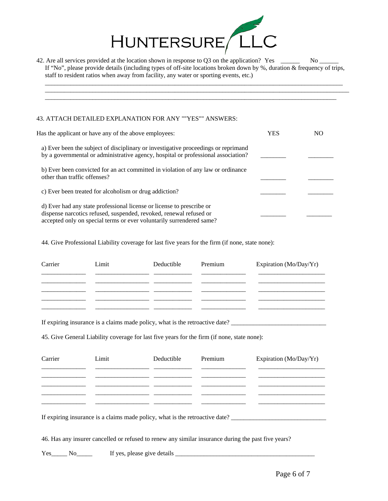

42. Are all services provided at the location shown in response to Q3 on the application? Yes \_\_\_\_\_\_ No \_\_\_\_\_ If "No", please provide details (including types of off-site locations broken down by %, duration & frequency of trips, staff to resident ratios when away from facility, any water or sporting events, etc.)

\_\_\_\_\_\_\_\_\_\_\_\_\_\_\_\_\_\_\_\_\_\_\_\_\_\_\_\_\_\_\_\_\_\_\_\_\_\_\_\_\_\_\_\_\_\_\_\_\_\_\_\_\_\_\_\_\_\_\_\_\_\_\_\_\_\_\_\_\_\_\_\_\_\_\_\_\_\_\_\_\_\_\_\_\_\_\_\_\_\_\_\_\_\_ \_\_\_\_\_\_\_\_\_\_\_\_\_\_\_\_\_\_\_\_\_\_\_\_\_\_\_\_\_\_\_\_\_\_\_\_\_\_\_\_\_\_\_\_\_\_\_\_\_\_\_\_\_\_\_\_\_\_\_\_\_\_\_\_\_\_\_\_\_\_\_\_\_\_\_\_\_\_\_\_\_\_\_\_\_\_\_\_\_\_\_\_\_\_\_\_ \_\_\_\_\_\_\_\_\_\_\_\_\_\_\_\_\_\_\_\_\_\_\_\_\_\_\_\_\_\_\_\_\_\_\_\_\_\_\_\_\_\_\_\_\_\_\_\_\_\_\_\_\_\_\_\_\_\_\_\_\_\_\_\_\_\_\_\_\_\_\_\_\_\_\_\_\_\_\_\_\_\_\_\_\_\_\_\_\_\_\_\_

## 43. ATTACH DETAILED EXPLANATION FOR ANY ""YES"" ANSWERS:

| Has the applicant or have any of the above employees:                                                                                                                                                               | YES | NO |
|---------------------------------------------------------------------------------------------------------------------------------------------------------------------------------------------------------------------|-----|----|
| a) Ever been the subject of disciplinary or investigative proceedings or reprimand<br>by a governmental or administrative agency, hospital or professional association?                                             |     |    |
| b) Ever been convicted for an act committed in violation of any law or ordinance<br>other than traffic offenses?                                                                                                    |     |    |
| c) Ever been treated for alcoholism or drug addiction?                                                                                                                                                              |     |    |
| d) Ever had any state professional license or license to prescribe or<br>dispense narcotics refused, suspended, revoked, renewal refused or<br>accepted only on special terms or ever voluntarily surrendered same? |     |    |

44. Give Professional Liability coverage for last five years for the firm (if none, state none):

| Carrier | Limit | Deductible | Premium | Expiration (Mo/Day/Yr) |
|---------|-------|------------|---------|------------------------|
|         |       |            |         |                        |
|         |       |            |         |                        |
|         |       |            |         |                        |

If expiring insurance is a claims made policy, what is the retroactive date? \_\_\_\_\_\_\_\_\_\_\_\_\_\_\_\_\_\_\_\_\_\_\_\_\_\_\_\_\_\_

45. Give General Liability coverage for last five years for the firm (if none, state none):

| Carrier | Limit | Deductible | Premium | Expiration (Mo/Day/Yr) |
|---------|-------|------------|---------|------------------------|
|         |       |            |         |                        |
|         |       |            |         |                        |
|         |       |            |         |                        |
|         |       |            |         |                        |

If expiring insurance is a claims made policy, what is the retroactive date? \_\_\_\_\_\_\_\_\_\_\_\_\_\_\_\_\_\_\_\_\_\_\_\_\_\_\_\_\_\_\_\_\_

46. Has any insurer cancelled or refused to renew any similar insurance during the past five years?

Yes\_\_\_\_\_ No\_\_\_\_\_\_ If yes, please give details \_\_\_\_\_\_\_\_\_\_\_\_\_\_\_\_\_\_\_\_\_\_\_\_\_\_\_\_\_\_\_\_\_\_